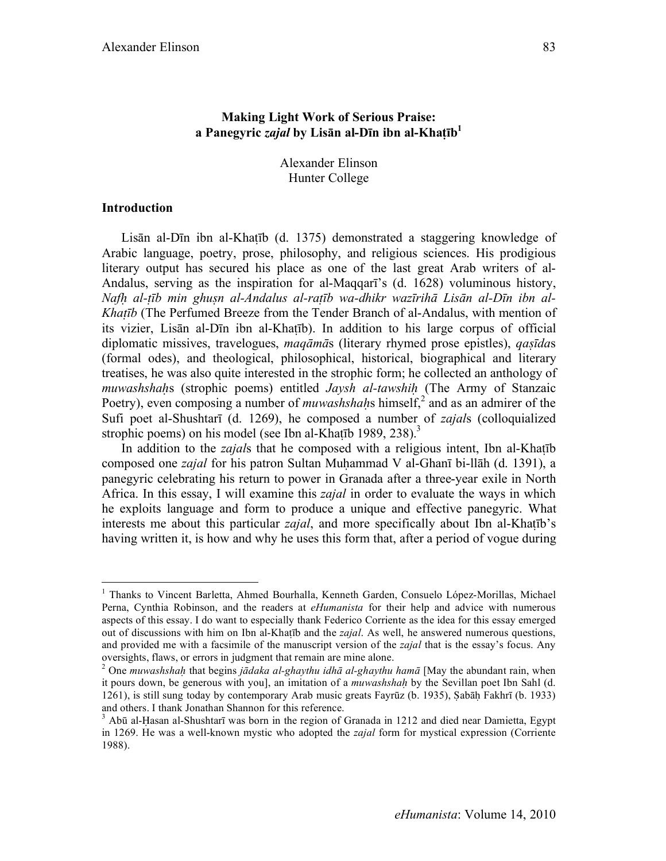# **Making Light Work of Serious Praise: a Panegyric** *zajal* **by Lisān al-Dīn ibn al-Khaṭīb1**

Alexander Elinson Hunter College

### **Introduction**

Lisān al-Dīn ibn al-Khaṭīb (d. 1375) demonstrated a staggering knowledge of Arabic language, poetry, prose, philosophy, and religious sciences. His prodigious literary output has secured his place as one of the last great Arab writers of al-Andalus, serving as the inspiration for al-Maqqarī's (d. 1628) voluminous history, *Nafḥ al-ṭīb min ghuṣn al-Andalus al-raṭīb wa-dhikr wazīrihā Lisān al-Dīn ibn al-Khaṭīb* (The Perfumed Breeze from the Tender Branch of al-Andalus, with mention of its vizier, Lisān al-Dīn ibn al-Khaṭīb). In addition to his large corpus of official diplomatic missives, travelogues, *maqāmā*s (literary rhymed prose epistles), *qaṣīda*s (formal odes), and theological, philosophical, historical, biographical and literary treatises, he was also quite interested in the strophic form; he collected an anthology of *muwashshaḥ*s (strophic poems) entitled *Jaysh al-tawshiḥ* (The Army of Stanzaic Poetry), even composing a number of *muwashshahs* himself,<sup>2</sup> and as an admirer of the Sufi poet al-Shushtarī (d. 1269), he composed a number of *zajal*s (colloquialized strophic poems) on his model (see Ibn al-Khatīb 1989, 238).<sup>3</sup>

In addition to the *zajal*s that he composed with a religious intent, Ibn al-Khaṭīb composed one *zajal* for his patron Sultan Muḥammad V al-Ghanī bi-llāh (d. 1391), a panegyric celebrating his return to power in Granada after a three-year exile in North Africa. In this essay, I will examine this *zajal* in order to evaluate the ways in which he exploits language and form to produce a unique and effective panegyric. What interests me about this particular *zajal*, and more specifically about Ibn al-Khaṭīb's having written it, is how and why he uses this form that, after a period of vogue during

 $\frac{1}{1}$ <sup>1</sup> Thanks to Vincent Barletta, Ahmed Bourhalla, Kenneth Garden, Consuelo López-Morillas, Michael Perna, Cynthia Robinson, and the readers at *eHumanista* for their help and advice with numerous aspects of this essay. I do want to especially thank Federico Corriente as the idea for this essay emerged out of discussions with him on Ibn al-Khaṭīb and the *zajal*. As well, he answered numerous questions, and provided me with a facsimile of the manuscript version of the *zajal* that is the essay's focus. Any oversights, flaws, or errors in judgment that remain are mine alone.

<sup>2</sup> One *muwashshaḥ* that begins *jādaka al-ghaythu idhā al-ghaythu hamā* [May the abundant rain, when it pours down, be generous with you], an imitation of a *muwashshaḥ* by the Sevillan poet Ibn Sahl (d. 1261), is still sung today by contemporary Arab music greats Fayrūz (b. 1935), Ṣabāḥ Fakhrī (b. 1933) and others. I thank Jonathan Shannon for this reference.

 $3$  Abū al-Ḥasan al-Shushtarī was born in the region of Granada in 1212 and died near Damietta, Egypt in 1269. He was a well-known mystic who adopted the *zajal* form for mystical expression (Corriente 1988).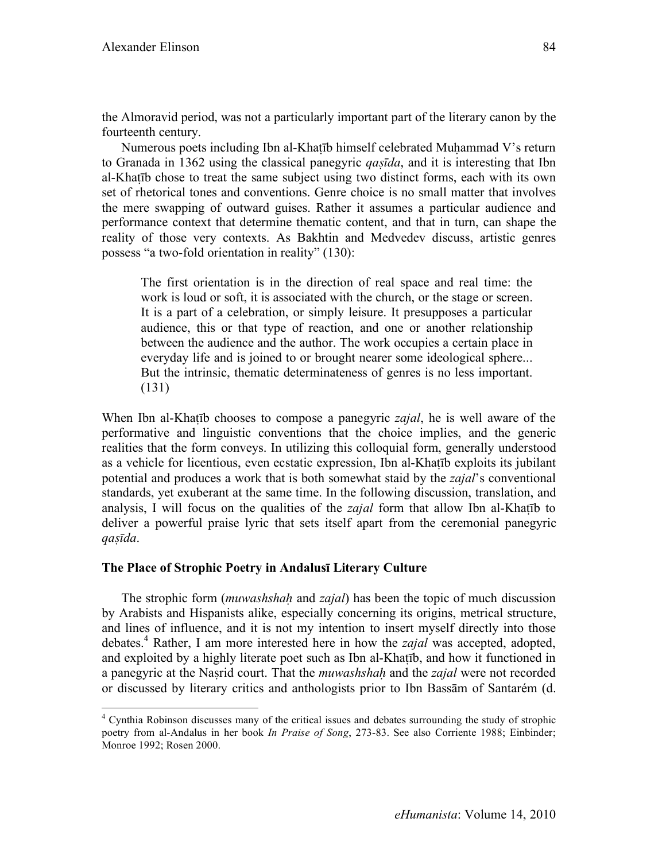the Almoravid period, was not a particularly important part of the literary canon by the fourteenth century.

Numerous poets including Ibn al-Khatīb himself celebrated Muhammad V's return to Granada in 1362 using the classical panegyric *qaṣīda*, and it is interesting that Ibn al-Khaṭīb chose to treat the same subject using two distinct forms, each with its own set of rhetorical tones and conventions. Genre choice is no small matter that involves the mere swapping of outward guises. Rather it assumes a particular audience and performance context that determine thematic content, and that in turn, can shape the reality of those very contexts. As Bakhtin and Medvedev discuss, artistic genres possess "a two-fold orientation in reality" (130):

The first orientation is in the direction of real space and real time: the work is loud or soft, it is associated with the church, or the stage or screen. It is a part of a celebration, or simply leisure. It presupposes a particular audience, this or that type of reaction, and one or another relationship between the audience and the author. The work occupies a certain place in everyday life and is joined to or brought nearer some ideological sphere... But the intrinsic, thematic determinateness of genres is no less important. (131)

When Ibn al-Khaṭīb chooses to compose a panegyric *zajal*, he is well aware of the performative and linguistic conventions that the choice implies, and the generic realities that the form conveys. In utilizing this colloquial form, generally understood as a vehicle for licentious, even ecstatic expression, Ibn al-Khaṭīb exploits its jubilant potential and produces a work that is both somewhat staid by the *zajal*'s conventional standards, yet exuberant at the same time. In the following discussion, translation, and analysis, I will focus on the qualities of the *zajal* form that allow Ibn al-Khaṭīb to deliver a powerful praise lyric that sets itself apart from the ceremonial panegyric *qaṣīda*.

# **The Place of Strophic Poetry in Andalusī Literary Culture**

The strophic form (*muwashshaḥ* and *zajal*) has been the topic of much discussion by Arabists and Hispanists alike, especially concerning its origins, metrical structure, and lines of influence, and it is not my intention to insert myself directly into those debates.<sup>4</sup> Rather, I am more interested here in how the *zajal* was accepted, adopted, and exploited by a highly literate poet such as Ibn al-Khaṭīb, and how it functioned in a panegyric at the Naṣrid court. That the *muwashshaḥ* and the *zajal* were not recorded or discussed by literary critics and anthologists prior to Ibn Bassām of Santarém (d.

 $\frac{1}{4}$  Cynthia Robinson discusses many of the critical issues and debates surrounding the study of strophic poetry from al-Andalus in her book *In Praise of Song*, 273-83. See also Corriente 1988; Einbinder; Monroe 1992; Rosen 2000.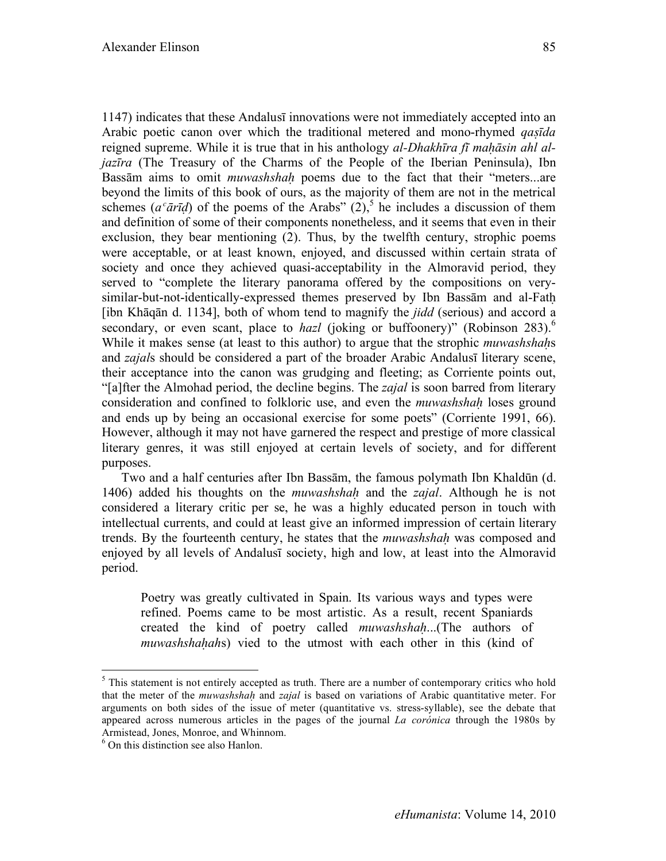1147) indicates that these Andalusī innovations were not immediately accepted into an Arabic poetic canon over which the traditional metered and mono-rhymed *qaṣīda* reigned supreme. While it is true that in his anthology *al-Dhakhīra fī maḥāsin ahl aljazīra* (The Treasury of the Charms of the People of the Iberian Peninsula), Ibn Bassām aims to omit *muwashshaḥ* poems due to the fact that their "meters...are beyond the limits of this book of ours, as the majority of them are not in the metrical schemes ( $a^c \bar{a} \bar{r} \bar{d}$ ) of the poems of the Arabs" (2),<sup>5</sup> he includes a discussion of them and definition of some of their components nonetheless, and it seems that even in their exclusion, they bear mentioning (2). Thus, by the twelfth century, strophic poems were acceptable, or at least known, enjoyed, and discussed within certain strata of society and once they achieved quasi-acceptability in the Almoravid period, they served to "complete the literary panorama offered by the compositions on verysimilar-but-not-identically-expressed themes preserved by Ibn Bassam and al-Fath [ibn Khāqān d. 1134], both of whom tend to magnify the *jidd* (serious) and accord a secondary, or even scant, place to *hazl* (joking or buffoonery)" (Robinson 283).<sup>6</sup> While it makes sense (at least to this author) to argue that the strophic *muwashshaḥ*s and *zajal*s should be considered a part of the broader Arabic Andalusī literary scene, their acceptance into the canon was grudging and fleeting; as Corriente points out, "[a]fter the Almohad period, the decline begins. The *zajal* is soon barred from literary consideration and confined to folkloric use, and even the *muwashshaḥ* loses ground and ends up by being an occasional exercise for some poets" (Corriente 1991, 66). However, although it may not have garnered the respect and prestige of more classical literary genres, it was still enjoyed at certain levels of society, and for different purposes.

Two and a half centuries after Ibn Bassām, the famous polymath Ibn Khaldūn (d. 1406) added his thoughts on the *muwashshaḥ* and the *zajal*. Although he is not considered a literary critic per se, he was a highly educated person in touch with intellectual currents, and could at least give an informed impression of certain literary trends. By the fourteenth century, he states that the *muwashshaḥ* was composed and enjoyed by all levels of Andalusī society, high and low, at least into the Almoravid period.

Poetry was greatly cultivated in Spain. Its various ways and types were refined. Poems came to be most artistic. As a result, recent Spaniards created the kind of poetry called *muwashshaḥ*...(The authors of *muwashshahahs*) vied to the utmost with each other in this (kind of

 $\frac{1}{5}$  $<sup>5</sup>$  This statement is not entirely accepted as truth. There are a number of contemporary critics who hold</sup> that the meter of the *muwashshaḥ* and *zajal* is based on variations of Arabic quantitative meter. For arguments on both sides of the issue of meter (quantitative vs. stress-syllable), see the debate that appeared across numerous articles in the pages of the journal *La corónica* through the 1980s by Armistead, Jones, Monroe, and Whinnom.

<sup>6</sup> On this distinction see also Hanlon.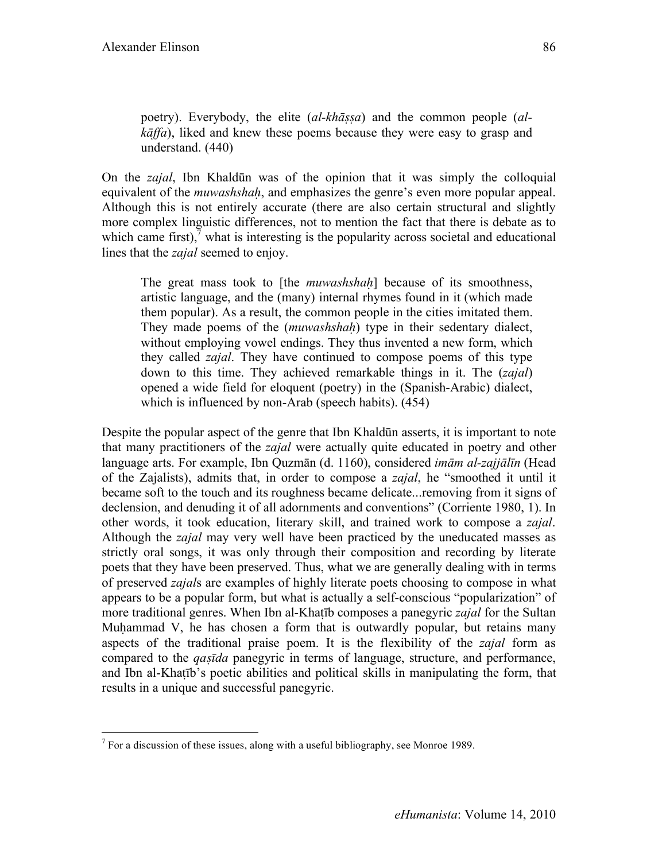poetry). Everybody, the elite (*al-khāṣṣa*) and the common people (*alkāffa*), liked and knew these poems because they were easy to grasp and understand. (440)

On the *zajal*, Ibn Khaldūn was of the opinion that it was simply the colloquial equivalent of the *muwashshah*, and emphasizes the genre's even more popular appeal. Although this is not entirely accurate (there are also certain structural and slightly more complex linguistic differences, not to mention the fact that there is debate as to which came first), $\frac{7}{7}$  what is interesting is the popularity across societal and educational lines that the *zajal* seemed to enjoy.

The great mass took to [the *muwashshaḥ*] because of its smoothness, artistic language, and the (many) internal rhymes found in it (which made them popular). As a result, the common people in the cities imitated them. They made poems of the (*muwashshaḥ*) type in their sedentary dialect, without employing vowel endings. They thus invented a new form, which they called *zajal*. They have continued to compose poems of this type down to this time. They achieved remarkable things in it. The (*zajal*) opened a wide field for eloquent (poetry) in the (Spanish-Arabic) dialect, which is influenced by non-Arab (speech habits). (454)

Despite the popular aspect of the genre that Ibn Khaldūn asserts, it is important to note that many practitioners of the *zajal* were actually quite educated in poetry and other language arts. For example, Ibn Quzmān (d. 1160), considered *imām al-zajjālīn* (Head of the Zajalists), admits that, in order to compose a *zajal*, he "smoothed it until it became soft to the touch and its roughness became delicate...removing from it signs of declension, and denuding it of all adornments and conventions" (Corriente 1980, 1). In other words, it took education, literary skill, and trained work to compose a *zajal*. Although the *zajal* may very well have been practiced by the uneducated masses as strictly oral songs, it was only through their composition and recording by literate poets that they have been preserved. Thus, what we are generally dealing with in terms of preserved *zajal*s are examples of highly literate poets choosing to compose in what appears to be a popular form, but what is actually a self-conscious "popularization" of more traditional genres. When Ibn al-Khaṭīb composes a panegyric *zajal* for the Sultan Muhammad V, he has chosen a form that is outwardly popular, but retains many aspects of the traditional praise poem. It is the flexibility of the *zajal* form as compared to the *qaṣīda* panegyric in terms of language, structure, and performance, and Ibn al-Khaṭīb's poetic abilities and political skills in manipulating the form, that results in a unique and successful panegyric.

<sup>&</sup>lt;sup>-</sup>7  $^7$  For a discussion of these issues, along with a useful bibliography, see Monroe 1989.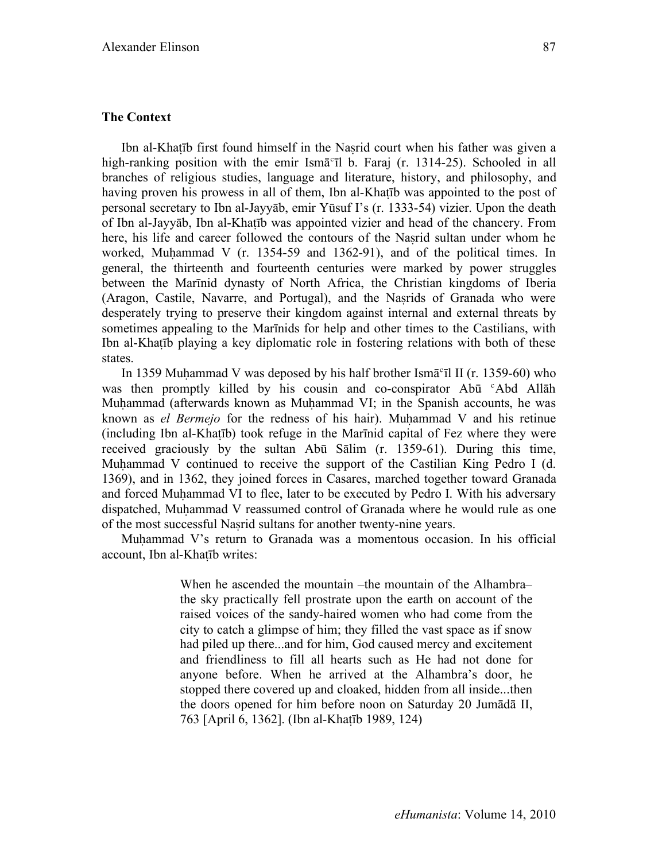### **The Context**

Ibn al-Khaṭīb first found himself in the Naṣrid court when his father was given a high-ranking position with the emir Ism $\bar{a}^c$ il b. Faraj (r. 1314-25). Schooled in all branches of religious studies, language and literature, history, and philosophy, and having proven his prowess in all of them, Ibn al-Khaṭīb was appointed to the post of personal secretary to Ibn al-Jayyāb, emir Yūsuf I's (r. 1333-54) vizier. Upon the death of Ibn al-Jayyāb, Ibn al-Khaṭīb was appointed vizier and head of the chancery. From here, his life and career followed the contours of the Nasrid sultan under whom he worked, Muḥammad V (r. 1354-59 and 1362-91), and of the political times. In general, the thirteenth and fourteenth centuries were marked by power struggles between the Marīnid dynasty of North Africa, the Christian kingdoms of Iberia (Aragon, Castile, Navarre, and Portugal), and the Nasrids of Granada who were desperately trying to preserve their kingdom against internal and external threats by sometimes appealing to the Marīnids for help and other times to the Castilians, with Ibn al-Khaṭīb playing a key diplomatic role in fostering relations with both of these states.

In 1359 Muhammad V was deposed by his half brother Ism $\bar{a}$ <sup>c</sup>il II (r. 1359-60) who was then promptly killed by his cousin and co-conspirator Abū <sup>c</sup>Abd Allāh Muhammad (afterwards known as Muhammad VI; in the Spanish accounts, he was known as *el Bermejo* for the redness of his hair). Muhammad V and his retinue (including Ibn al-Khaṭīb) took refuge in the Marīnid capital of Fez where they were received graciously by the sultan Abū Sālim (r. 1359-61). During this time, Muhammad V continued to receive the support of the Castilian King Pedro I (d. 1369), and in 1362, they joined forces in Casares, marched together toward Granada and forced Muhammad VI to flee, later to be executed by Pedro I. With his adversary dispatched, Muḥammad V reassumed control of Granada where he would rule as one of the most successful Naṣrid sultans for another twenty-nine years.

Muhammad V's return to Granada was a momentous occasion. In his official account, Ibn al-Khaṭīb writes:

> When he ascended the mountain –the mountain of the Alhambra– the sky practically fell prostrate upon the earth on account of the raised voices of the sandy-haired women who had come from the city to catch a glimpse of him; they filled the vast space as if snow had piled up there...and for him, God caused mercy and excitement and friendliness to fill all hearts such as He had not done for anyone before. When he arrived at the Alhambra's door, he stopped there covered up and cloaked, hidden from all inside...then the doors opened for him before noon on Saturday 20 Jumādā II, 763 [April 6, 1362]. (Ibn al-Khaṭīb 1989, 124)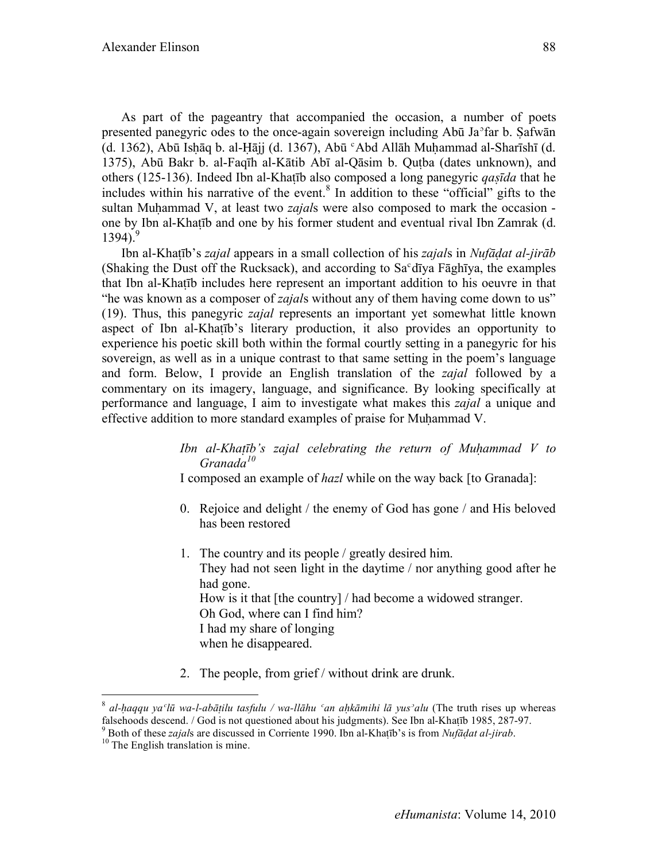As part of the pageantry that accompanied the occasion, a number of poets presented panegyric odes to the once-again sovereign including Abū Jaʾfar b. Ṣafwān (d. 1362), Abū Isḥāq b. al-Ḥājj (d. 1367), Abū ʿAbd Allāh Muḥammad al-Sharīshī (d. 1375), Abū Bakr b. al-Faqīh al-Kātib Abī al-Qāsim b. Quṭba (dates unknown), and others (125-136). Indeed Ibn al-Khaṭīb also composed a long panegyric *qaṣīda* that he includes within his narrative of the event. $8$  In addition to these "official" gifts to the sultan Muhammad V, at least two *zajal*s were also composed to mark the occasion one by Ibn al-Khaṭīb and one by his former student and eventual rival Ibn Zamrak (d.  $1394$ .<sup>9</sup>

Ibn al-Khaṭīb's *zajal* appears in a small collection of his *zajal*s in *Nufāḍat al-jirāb* (Shaking the Dust off the Rucksack), and according to Saʿdīya Fāghīya, the examples that Ibn al-Khaṭīb includes here represent an important addition to his oeuvre in that "he was known as a composer of *zajal*s without any of them having come down to us" (19). Thus, this panegyric *zajal* represents an important yet somewhat little known aspect of Ibn al-Khaṭīb's literary production, it also provides an opportunity to experience his poetic skill both within the formal courtly setting in a panegyric for his sovereign, as well as in a unique contrast to that same setting in the poem's language and form. Below, I provide an English translation of the *zajal* followed by a commentary on its imagery, language, and significance. By looking specifically at performance and language, I aim to investigate what makes this *zajal* a unique and effective addition to more standard examples of praise for Muhammad V.

# *Ibn al-Khaṭīb's zajal celebrating the return of Muḥammad V to Granada<sup>10</sup>*

I composed an example of *hazl* while on the way back [to Granada]:

- 0. Rejoice and delight / the enemy of God has gone / and His beloved has been restored
- 1. The country and its people / greatly desired him. They had not seen light in the daytime / nor anything good after he had gone. How is it that [the country] / had become a widowed stranger. Oh God, where can I find him? I had my share of longing when he disappeared.
- 2. The people, from grief / without drink are drunk.

al-haqqu ya'lū wa-l-abātilu tasfulu / wa-llāhu 'an ahkāmihi lā yus'alu (The truth rises up whereas falsehoods descend. / God is not questioned about his judgments). See Ibn al-Khatīb 1985, 287-97.

Both of these *zajal*s are discussed in Corriente 1990. Ibn al-Khaṭīb's is from *Nufāḍat al-jirab*. 10 The English translation is mine.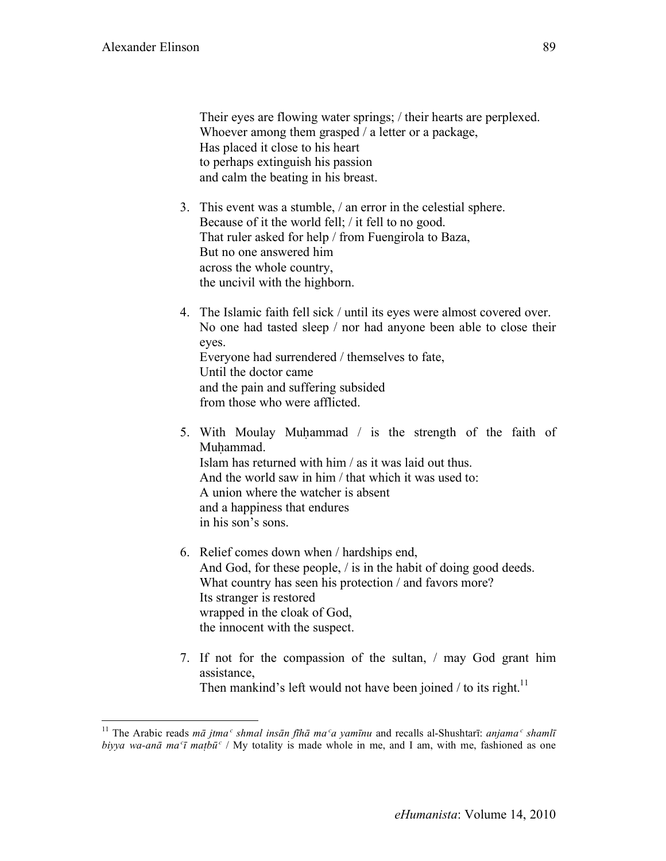Their eyes are flowing water springs; / their hearts are perplexed. Whoever among them grasped / a letter or a package, Has placed it close to his heart to perhaps extinguish his passion and calm the beating in his breast.

- 3. This event was a stumble, / an error in the celestial sphere. Because of it the world fell; / it fell to no good. That ruler asked for help / from Fuengirola to Baza, But no one answered him across the whole country, the uncivil with the highborn.
- 4. The Islamic faith fell sick / until its eyes were almost covered over. No one had tasted sleep / nor had anyone been able to close their eyes. Everyone had surrendered / themselves to fate, Until the doctor came and the pain and suffering subsided from those who were afflicted.
- 5. With Moulay Muḥammad / is the strength of the faith of Muhammad. Islam has returned with him / as it was laid out thus. And the world saw in him / that which it was used to: A union where the watcher is absent and a happiness that endures in his son's sons.
- 6. Relief comes down when / hardships end, And God, for these people, / is in the habit of doing good deeds. What country has seen his protection / and favors more? Its stranger is restored wrapped in the cloak of God, the innocent with the suspect.
- 7. If not for the compassion of the sultan, / may God grant him assistance, Then mankind's left would not have been joined / to its right.<sup>11</sup>

<sup>&</sup>lt;sup>11</sup> The Arabic reads mā jtma<sup>c</sup> shmal insān fīhā ma<sup>c</sup>a vamīnu and recalls al-Shushtarī: anjama<sup>c</sup> shamlī *biyya wa-anā* ma<sup> $\tau$ </sup>*ī* matbū<sup>*c*</sup> / My totality is made whole in me, and I am, with me, fashioned as one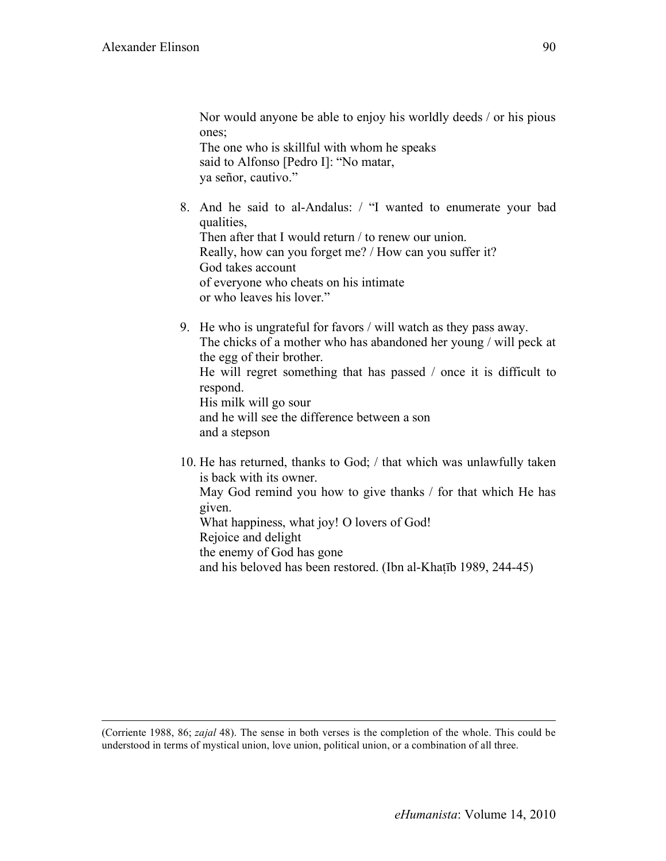Nor would anyone be able to enjoy his worldly deeds / or his pious ones;

The one who is skillful with whom he speaks said to Alfonso [Pedro I]: "No matar, ya señor, cautivo."

- 8. And he said to al-Andalus: / "I wanted to enumerate your bad qualities, Then after that I would return / to renew our union. Really, how can you forget me? / How can you suffer it? God takes account of everyone who cheats on his intimate or who leaves his lover."
- 9. He who is ungrateful for favors / will watch as they pass away. The chicks of a mother who has abandoned her young / will peck at the egg of their brother. He will regret something that has passed / once it is difficult to respond. His milk will go sour and he will see the difference between a son and a stepson
- 10. He has returned, thanks to God; / that which was unlawfully taken is back with its owner. May God remind you how to give thanks / for that which He has given. What happiness, what joy! O lovers of God! Rejoice and delight the enemy of God has gone and his beloved has been restored. (Ibn al-Khaṭīb 1989, 244-45)

 <sup>(</sup>Corriente 1988, 86; *zajal* 48). The sense in both verses is the completion of the whole. This could be understood in terms of mystical union, love union, political union, or a combination of all three.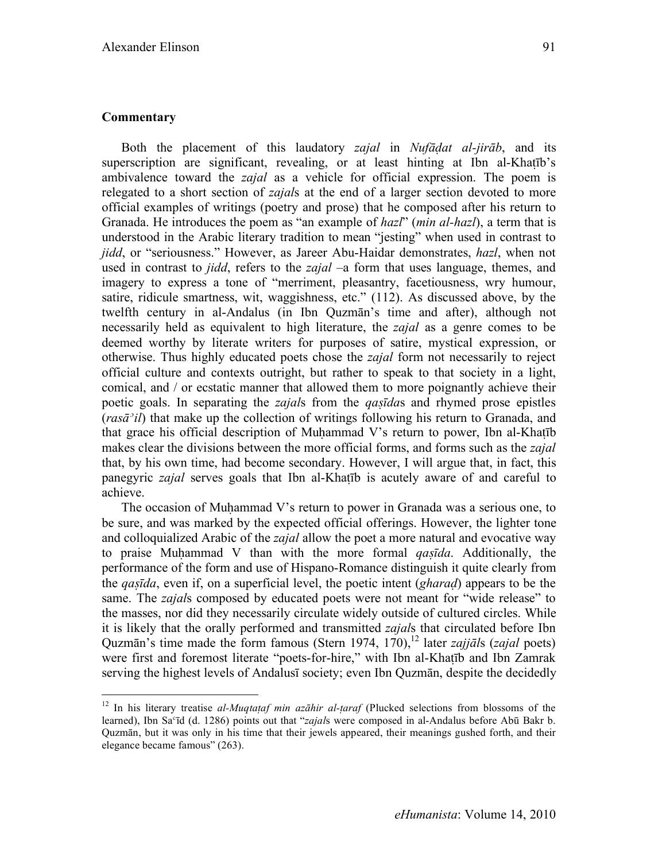#### **Commentary**

Both the placement of this laudatory *zajal* in *Nufāḍat al-jirāb*, and its superscription are significant, revealing, or at least hinting at Ibn al-Khaṭīb's ambivalence toward the *zajal* as a vehicle for official expression. The poem is relegated to a short section of *zajal*s at the end of a larger section devoted to more official examples of writings (poetry and prose) that he composed after his return to Granada. He introduces the poem as "an example of *hazl*" (*min al-hazl*), a term that is understood in the Arabic literary tradition to mean "jesting" when used in contrast to *jidd*, or "seriousness." However, as Jareer Abu-Haidar demonstrates, *hazl*, when not used in contrast to *jidd*, refers to the *zajal* –a form that uses language, themes, and imagery to express a tone of "merriment, pleasantry, facetiousness, wry humour, satire, ridicule smartness, wit, waggishness, etc." (112). As discussed above, by the twelfth century in al-Andalus (in Ibn Quzmān's time and after), although not necessarily held as equivalent to high literature, the *zajal* as a genre comes to be deemed worthy by literate writers for purposes of satire, mystical expression, or otherwise. Thus highly educated poets chose the *zajal* form not necessarily to reject official culture and contexts outright, but rather to speak to that society in a light, comical, and / or ecstatic manner that allowed them to more poignantly achieve their poetic goals. In separating the *zajal*s from the *qaṣīda*s and rhymed prose epistles (*rasāʾil*) that make up the collection of writings following his return to Granada, and that grace his official description of Muḥammad V's return to power, Ibn al-Khaṭīb makes clear the divisions between the more official forms, and forms such as the *zajal* that, by his own time, had become secondary. However, I will argue that, in fact, this panegyric *zajal* serves goals that Ibn al-Khaṭīb is acutely aware of and careful to achieve.

The occasion of Muhammad V's return to power in Granada was a serious one, to be sure, and was marked by the expected official offerings. However, the lighter tone and colloquialized Arabic of the *zajal* allow the poet a more natural and evocative way to praise Muḥammad V than with the more formal *qaṣīda*. Additionally, the performance of the form and use of Hispano-Romance distinguish it quite clearly from the *qaṣīda*, even if, on a superficial level, the poetic intent (*gharaḍ*) appears to be the same. The *zajal*s composed by educated poets were not meant for "wide release" to the masses, nor did they necessarily circulate widely outside of cultured circles. While it is likely that the orally performed and transmitted *zajal*s that circulated before Ibn Quzmān's time made the form famous (Stern 1974, 170), <sup>12</sup> later *zajjāls (zajal* poets) were first and foremost literate "poets-for-hire," with Ibn al-Khaṭīb and Ibn Zamrak serving the highest levels of Andalusī society; even Ibn Quzmān, despite the decidedly

 <sup>12</sup> In his literary treatise *al-Muqtaṭaf min azāhir al-ṭaraf* (Plucked selections from blossoms of the learned), Ibn Saʿīd (d. 1286) points out that "*zajal*s were composed in al-Andalus before Abū Bakr b. Quzmān, but it was only in his time that their jewels appeared, their meanings gushed forth, and their elegance became famous" (263).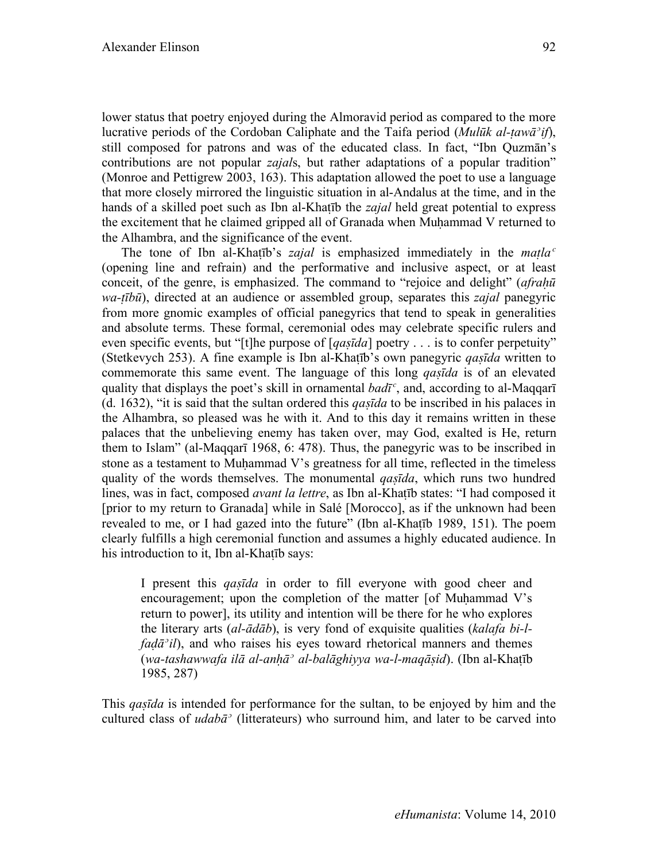lower status that poetry enjoyed during the Almoravid period as compared to the more lucrative periods of the Cordoban Caliphate and the Taifa period (*Mulūk al-ṭawāʾif*), still composed for patrons and was of the educated class. In fact, "Ibn Quzmān's contributions are not popular *zajal*s, but rather adaptations of a popular tradition" (Monroe and Pettigrew 2003, 163). This adaptation allowed the poet to use a language that more closely mirrored the linguistic situation in al-Andalus at the time, and in the hands of a skilled poet such as Ibn al-Khatīb the *zajal* held great potential to express the excitement that he claimed gripped all of Granada when Muḥammad V returned to the Alhambra, and the significance of the event.

The tone of Ibn al-Khatīb's *zajal* is emphasized immediately in the *matla*<sup>*c*</sup> (opening line and refrain) and the performative and inclusive aspect, or at least conceit, of the genre, is emphasized. The command to "rejoice and delight" (*afraḥū wa-ṭībū*), directed at an audience or assembled group, separates this *zajal* panegyric from more gnomic examples of official panegyrics that tend to speak in generalities and absolute terms. These formal, ceremonial odes may celebrate specific rulers and even specific events, but "[t]he purpose of [*qaṣīda*] poetry . . . is to confer perpetuity" (Stetkevych 253). A fine example is Ibn al-Khaṭīb's own panegyric *qaṣīda* written to commemorate this same event. The language of this long *qaṣīda* is of an elevated quality that displays the poet's skill in ornamental *badīʿ*, and, according to al-Maqqarī (d. 1632), "it is said that the sultan ordered this *qaṣīda* to be inscribed in his palaces in the Alhambra, so pleased was he with it. And to this day it remains written in these palaces that the unbelieving enemy has taken over, may God, exalted is He, return them to Islam" (al-Maqqarī 1968, 6: 478). Thus, the panegyric was to be inscribed in stone as a testament to Muḥammad V's greatness for all time, reflected in the timeless quality of the words themselves. The monumental *qaṣīda*, which runs two hundred lines, was in fact, composed *avant la lettre*, as Ibn al-Khaṭīb states: "I had composed it [prior to my return to Granada] while in Salé [Morocco], as if the unknown had been revealed to me, or I had gazed into the future" (Ibn al-Khaṭīb 1989, 151). The poem clearly fulfills a high ceremonial function and assumes a highly educated audience. In his introduction to it, Ibn al-Khatīb says:

I present this *qaṣīda* in order to fill everyone with good cheer and encouragement; upon the completion of the matter  $[$ of Muhammad V's return to power], its utility and intention will be there for he who explores the literary arts (*al-ādāb*), is very fond of exquisite qualities (*kalafa bi-lfad* $\bar{a}$ <sup>*'il*</sup>), and who raises his eyes toward rhetorical manners and themes (*wa-tashawwafa ilā al-anḥāʾ al-balāghiyya wa-l-maqāṣid*). (Ibn al-Khaṭīb 1985, 287)

This *qaṣīda* is intended for performance for the sultan, to be enjoyed by him and the cultured class of *udabāʾ* (litterateurs) who surround him, and later to be carved into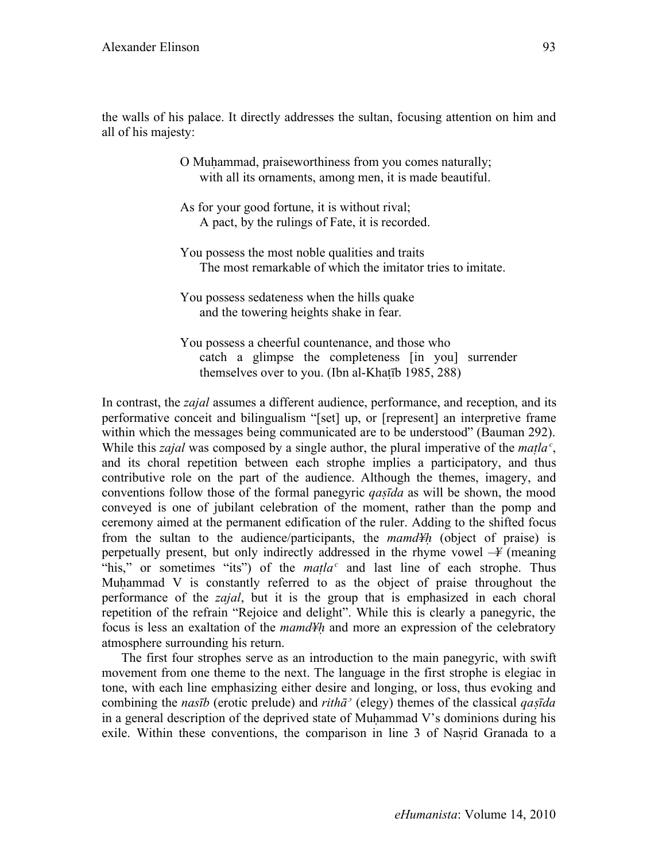the walls of his palace. It directly addresses the sultan, focusing attention on him and all of his majesty:

> O Muhammad, praiseworthiness from you comes naturally; with all its ornaments, among men, it is made beautiful.

As for your good fortune, it is without rival; A pact, by the rulings of Fate, it is recorded.

You possess the most noble qualities and traits The most remarkable of which the imitator tries to imitate.

You possess sedateness when the hills quake and the towering heights shake in fear.

You possess a cheerful countenance, and those who catch a glimpse the completeness [in you] surrender themselves over to you. (Ibn al-Khaṭīb 1985, 288)

In contrast, the *zajal* assumes a different audience, performance, and reception, and its performative conceit and bilingualism "[set] up, or [represent] an interpretive frame within which the messages being communicated are to be understood" (Bauman 292). While this *zajal* was composed by a single author, the plural imperative of the *maṭlaʿ*, and its choral repetition between each strophe implies a participatory, and thus contributive role on the part of the audience. Although the themes, imagery, and conventions follow those of the formal panegyric *qaṣīda* as will be shown, the mood conveyed is one of jubilant celebration of the moment, rather than the pomp and ceremony aimed at the permanent edification of the ruler. Adding to the shifted focus from the sultan to the audience/participants, the *mamd¥ḥ* (object of praise) is perpetually present, but only indirectly addressed in the rhyme vowel –*¥* (meaning "his," or sometimes "its") of the *matla<sup>c</sup>* and last line of each strophe. Thus Muhammad V is constantly referred to as the object of praise throughout the performance of the *zajal*, but it is the group that is emphasized in each choral repetition of the refrain "Rejoice and delight". While this is clearly a panegyric, the focus is less an exaltation of the *mamd¥ḥ* and more an expression of the celebratory atmosphere surrounding his return.

The first four strophes serve as an introduction to the main panegyric, with swift movement from one theme to the next. The language in the first strophe is elegiac in tone, with each line emphasizing either desire and longing, or loss, thus evoking and combining the *nasīb* (erotic prelude) and *rithāʾ* (elegy) themes of the classical *qaṣīda* in a general description of the deprived state of Muhammad V's dominions during his exile. Within these conventions, the comparison in line 3 of Nasrid Granada to a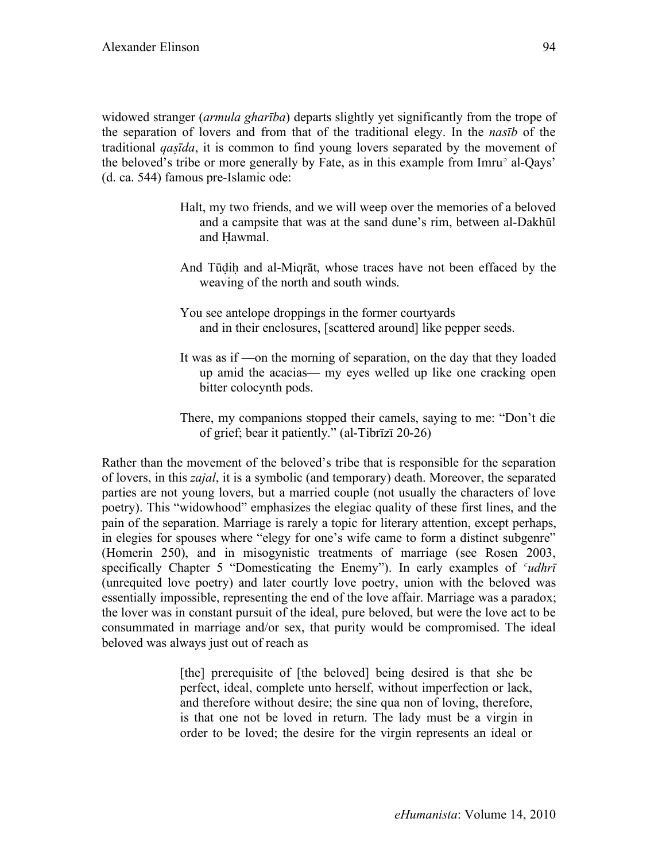widowed stranger (*armula gharība*) departs slightly yet significantly from the trope of the separation of lovers and from that of the traditional elegy. In the *nasīb* of the traditional *qaṣīda*, it is common to find young lovers separated by the movement of the beloved's tribe or more generally by Fate, as in this example from Imru<sup>3</sup> al-Qays' (d. ca. 544) famous pre-Islamic ode:

- Halt, my two friends, and we will weep over the memories of a beloved and a campsite that was at the sand dune's rim, between al-Dakhūl and Ḥawmal.
- And Tūḍiḥ and al-Miqrāt, whose traces have not been effaced by the weaving of the north and south winds.
- You see antelope droppings in the former courtyards and in their enclosures, [scattered around] like pepper seeds.
- It was as if —on the morning of separation, on the day that they loaded up amid the acacias— my eyes welled up like one cracking open bitter colocynth pods.
- There, my companions stopped their camels, saying to me: "Don't die of grief; bear it patiently." (al-Tibrīzī 20-26)

Rather than the movement of the beloved's tribe that is responsible for the separation of lovers, in this *zajal*, it is a symbolic (and temporary) death. Moreover, the separated parties are not young lovers, but a married couple (not usually the characters of love poetry). This "widowhood" emphasizes the elegiac quality of these first lines, and the pain of the separation. Marriage is rarely a topic for literary attention, except perhaps, in elegies for spouses where "elegy for one's wife came to form a distinct subgenre" (Homerin 250), and in misogynistic treatments of marriage (see Rosen 2003, specifically Chapter 5 "Domesticating the Enemy"). In early examples of *ʿudhrī* (unrequited love poetry) and later courtly love poetry, union with the beloved was essentially impossible, representing the end of the love affair. Marriage was a paradox; the lover was in constant pursuit of the ideal, pure beloved, but were the love act to be consummated in marriage and/or sex, that purity would be compromised. The ideal beloved was always just out of reach as

> [the] prerequisite of [the beloved] being desired is that she be perfect, ideal, complete unto herself, without imperfection or lack, and therefore without desire; the sine qua non of loving, therefore, is that one not be loved in return. The lady must be a virgin in order to be loved; the desire for the virgin represents an ideal or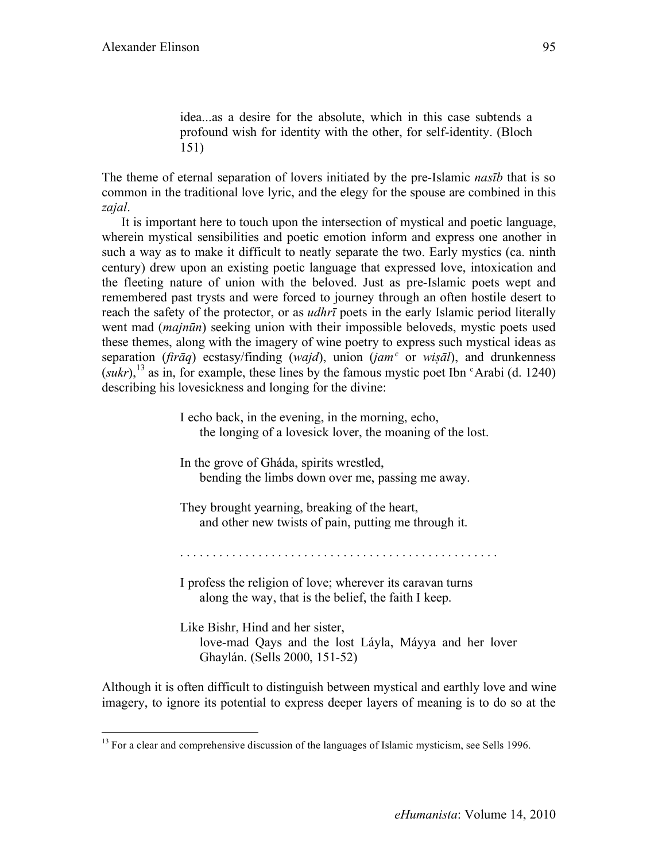idea...as a desire for the absolute, which in this case subtends a profound wish for identity with the other, for self-identity. (Bloch 151)

The theme of eternal separation of lovers initiated by the pre-Islamic *nasīb* that is so common in the traditional love lyric, and the elegy for the spouse are combined in this *zajal*.

It is important here to touch upon the intersection of mystical and poetic language, wherein mystical sensibilities and poetic emotion inform and express one another in such a way as to make it difficult to neatly separate the two. Early mystics (ca. ninth century) drew upon an existing poetic language that expressed love, intoxication and the fleeting nature of union with the beloved. Just as pre-Islamic poets wept and remembered past trysts and were forced to journey through an often hostile desert to reach the safety of the protector, or as *udhrī* poets in the early Islamic period literally went mad (*majnūn*) seeking union with their impossible beloveds, mystic poets used these themes, along with the imagery of wine poetry to express such mystical ideas as separation (*firāq*) ecstasy/finding (*wajd*), union (*jamʿ* or *wiṣāl*), and drunkenness  $(sukr)$ , <sup>13</sup> as in, for example, these lines by the famous mystic poet Ibn  $\epsilon$ Arabi (d. 1240) describing his lovesickness and longing for the divine:

> I echo back, in the evening, in the morning, echo, the longing of a lovesick lover, the moaning of the lost.

In the grove of Gháda, spirits wrestled, bending the limbs down over me, passing me away.

They brought yearning, breaking of the heart, and other new twists of pain, putting me through it.

I profess the religion of love; wherever its caravan turns along the way, that is the belief, the faith I keep.

Like Bishr, Hind and her sister, love-mad Qays and the lost Láyla, Máyya and her lover Ghaylán. (Sells 2000, 151-52)

Although it is often difficult to distinguish between mystical and earthly love and wine imagery, to ignore its potential to express deeper layers of meaning is to do so at the

<sup>&</sup>lt;sup>13</sup> For a clear and comprehensive discussion of the languages of Islamic mysticism, see Sells 1996.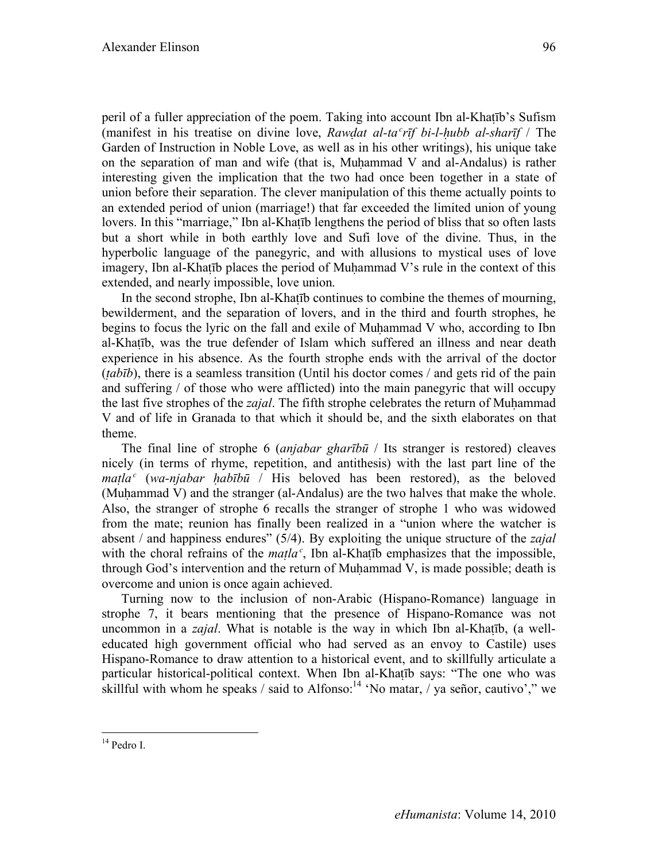peril of a fuller appreciation of the poem. Taking into account Ibn al-Khaṭīb's Sufism (manifest in his treatise on divine love, *Rawḍat al-taʿrīf bi-l-ḥubb al-sharīf* / The Garden of Instruction in Noble Love, as well as in his other writings), his unique take on the separation of man and wife (that is, Muḥammad V and al-Andalus) is rather interesting given the implication that the two had once been together in a state of union before their separation. The clever manipulation of this theme actually points to an extended period of union (marriage!) that far exceeded the limited union of young lovers. In this "marriage," Ibn al-Khatīb lengthens the period of bliss that so often lasts but a short while in both earthly love and Sufi love of the divine. Thus, in the hyperbolic language of the panegyric, and with allusions to mystical uses of love imagery, Ibn al-Khatīb places the period of Muhammad V's rule in the context of this extended, and nearly impossible, love union.

In the second strophe, Ibn al-Khaṭīb continues to combine the themes of mourning, bewilderment, and the separation of lovers, and in the third and fourth strophes, he begins to focus the lyric on the fall and exile of Muhammad V who, according to Ibn al-Khaṭīb, was the true defender of Islam which suffered an illness and near death experience in his absence. As the fourth strophe ends with the arrival of the doctor (*ṭabīb*), there is a seamless transition (Until his doctor comes / and gets rid of the pain and suffering / of those who were afflicted) into the main panegyric that will occupy the last five strophes of the *zajal*. The fifth strophe celebrates the return of Muhammad V and of life in Granada to that which it should be, and the sixth elaborates on that theme.

The final line of strophe 6 (*anjabar gharībū* / Its stranger is restored) cleaves nicely (in terms of rhyme, repetition, and antithesis) with the last part line of the *maṭlaʿ* (*wa-njabar ḥabībū* / His beloved has been restored), as the beloved (Muhammad V) and the stranger (al-Andalus) are the two halves that make the whole. Also, the stranger of strophe 6 recalls the stranger of strophe 1 who was widowed from the mate; reunion has finally been realized in a "union where the watcher is absent / and happiness endures" (5/4). By exploiting the unique structure of the *zajal* with the choral refrains of the *matla<sup>c</sup>*, Ibn al-Khatīb emphasizes that the impossible, through God's intervention and the return of Muhammad V, is made possible; death is overcome and union is once again achieved.

Turning now to the inclusion of non-Arabic (Hispano-Romance) language in strophe 7, it bears mentioning that the presence of Hispano-Romance was not uncommon in a *zajal*. What is notable is the way in which Ibn al-Khaṭīb, (a welleducated high government official who had served as an envoy to Castile) uses Hispano-Romance to draw attention to a historical event, and to skillfully articulate a particular historical-political context. When Ibn al-Khaṭīb says: "The one who was skillful with whom he speaks / said to Alfonso:<sup>14</sup> 'No matar,  $\overline{y}$  ya señor, cautivo'," we

 <sup>14</sup> Pedro I.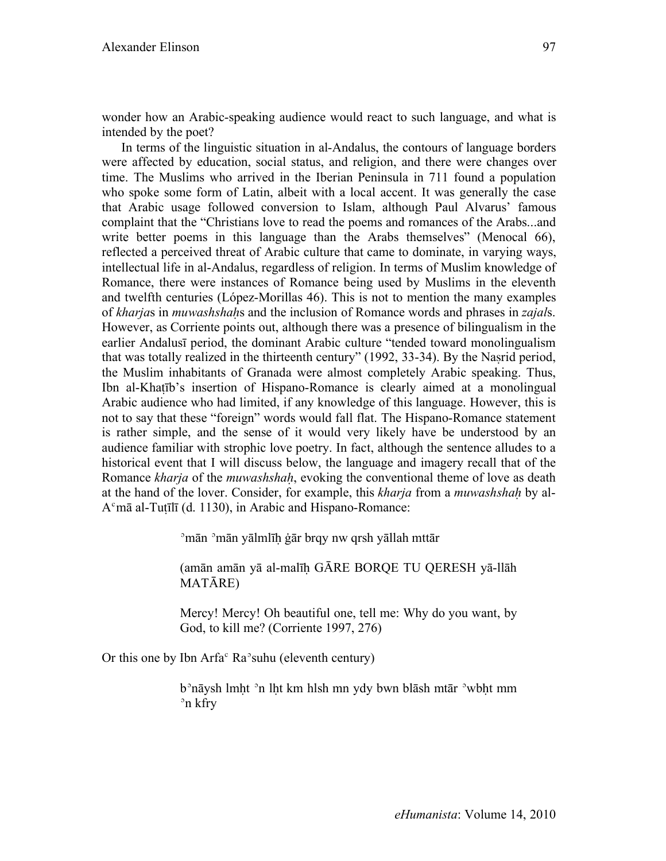wonder how an Arabic-speaking audience would react to such language, and what is intended by the poet?

In terms of the linguistic situation in al-Andalus, the contours of language borders were affected by education, social status, and religion, and there were changes over time. The Muslims who arrived in the Iberian Peninsula in 711 found a population who spoke some form of Latin, albeit with a local accent. It was generally the case that Arabic usage followed conversion to Islam, although Paul Alvarus' famous complaint that the "Christians love to read the poems and romances of the Arabs...and write better poems in this language than the Arabs themselves" (Menocal 66), reflected a perceived threat of Arabic culture that came to dominate, in varying ways, intellectual life in al-Andalus, regardless of religion. In terms of Muslim knowledge of Romance, there were instances of Romance being used by Muslims in the eleventh and twelfth centuries (López-Morillas 46). This is not to mention the many examples of *kharja*s in *muwashshaḥ*s and the inclusion of Romance words and phrases in *zajal*s. However, as Corriente points out, although there was a presence of bilingualism in the earlier Andalusī period, the dominant Arabic culture "tended toward monolingualism that was totally realized in the thirteenth century" (1992, 33-34). By the Naṣrid period, the Muslim inhabitants of Granada were almost completely Arabic speaking. Thus, Ibn al-Khaṭīb's insertion of Hispano-Romance is clearly aimed at a monolingual Arabic audience who had limited, if any knowledge of this language. However, this is not to say that these "foreign" words would fall flat. The Hispano-Romance statement is rather simple, and the sense of it would very likely have be understood by an audience familiar with strophic love poetry. In fact, although the sentence alludes to a historical event that I will discuss below, the language and imagery recall that of the Romance *kharja* of the *muwashshaḥ*, evoking the conventional theme of love as death at the hand of the lover. Consider, for example, this *kharja* from a *muwashshaḥ* by al-Aʿmā al-Tuṭīlī (d. 1130), in Arabic and Hispano-Romance:

ʾmān ʾmān yālmlīḥ ġār brqy nw qrsh yāllah mttār

(amān amān yā al-malīḥ GĀRE BORQE TU QERESH yā-llāh MATĀRE)

Mercy! Mercy! Oh beautiful one, tell me: Why do you want, by God, to kill me? (Corriente 1997, 276)

Or this one by Ibn Arfa $\textdegree$  Ra $\textdegree$ suhu (eleventh century)

b<sup>3</sup>nāysh lmht <sup>3</sup>n lht km hlsh mn ydy bwn blāsh mtār <sup>3</sup>wbht mm ʾn kfry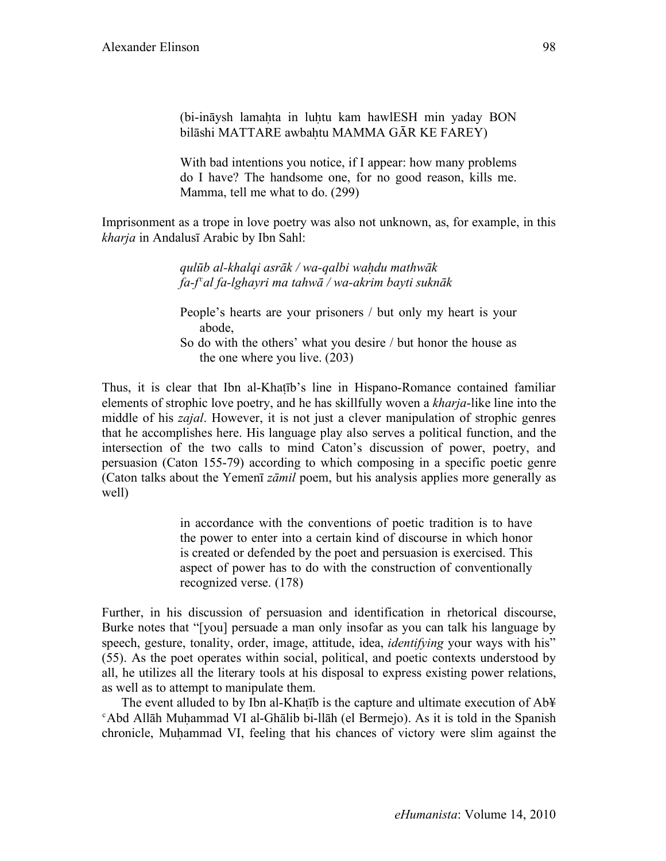(bi-ināysh lamahta in luhtu kam hawlESH min yaday BON bilāshi MATTARE awbahtu MAMMA GĀR KE FAREY)

With bad intentions you notice, if I appear: how many problems do I have? The handsome one, for no good reason, kills me. Mamma, tell me what to do. (299)

Imprisonment as a trope in love poetry was also not unknown, as, for example, in this *kharja* in Andalusī Arabic by Ibn Sahl:

> *qulūb al-khalqi asrāk / wa-qalbi waḥdu mathwāk fa-fʿal fa-lghayri ma tahwā / wa-akrim bayti suknāk*

People's hearts are your prisoners / but only my heart is your abode,

So do with the others' what you desire / but honor the house as the one where you live. (203)

Thus, it is clear that Ibn al-Khaṭīb's line in Hispano-Romance contained familiar elements of strophic love poetry, and he has skillfully woven a *kharja*-like line into the middle of his *zajal*. However, it is not just a clever manipulation of strophic genres that he accomplishes here. His language play also serves a political function, and the intersection of the two calls to mind Caton's discussion of power, poetry, and persuasion (Caton 155-79) according to which composing in a specific poetic genre (Caton talks about the Yemenī *zāmil* poem, but his analysis applies more generally as well)

> in accordance with the conventions of poetic tradition is to have the power to enter into a certain kind of discourse in which honor is created or defended by the poet and persuasion is exercised. This aspect of power has to do with the construction of conventionally recognized verse. (178)

Further, in his discussion of persuasion and identification in rhetorical discourse, Burke notes that "[you] persuade a man only insofar as you can talk his language by speech, gesture, tonality, order, image, attitude, idea, *identifying* your ways with his" (55). As the poet operates within social, political, and poetic contexts understood by all, he utilizes all the literary tools at his disposal to express existing power relations, as well as to attempt to manipulate them.

The event alluded to by Ibn al-Khatīb is the capture and ultimate execution of Ab¥ ʿAbd Allāh Muḥammad VI al-Ghālib bi-llāh (el Bermejo). As it is told in the Spanish chronicle, Muhammad VI, feeling that his chances of victory were slim against the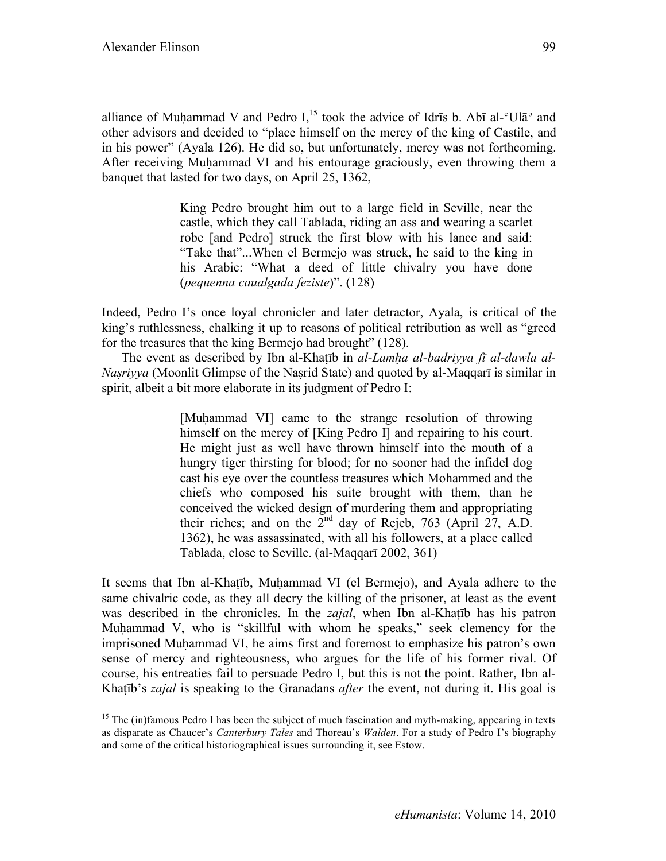alliance of Muhammad V and Pedro  $I<sub>15</sub>$  took the advice of Idrīs b. Abī al- $\rm{U}$ lā<sup>o</sup> and other advisors and decided to "place himself on the mercy of the king of Castile, and in his power" (Ayala 126). He did so, but unfortunately, mercy was not forthcoming. After receiving Muḥammad VI and his entourage graciously, even throwing them a banquet that lasted for two days, on April 25, 1362,

> King Pedro brought him out to a large field in Seville, near the castle, which they call Tablada, riding an ass and wearing a scarlet robe [and Pedro] struck the first blow with his lance and said: "Take that"...When el Bermejo was struck, he said to the king in his Arabic: "What a deed of little chivalry you have done (*pequenna caualgada feziste*)". (128)

Indeed, Pedro I's once loyal chronicler and later detractor, Ayala, is critical of the king's ruthlessness, chalking it up to reasons of political retribution as well as "greed for the treasures that the king Bermejo had brought" (128).

The event as described by Ibn al-Khaṭīb in *al-Lamḥa al-badriyya fī al-dawla al-Nasrivya* (Moonlit Glimpse of the Nasrid State) and quoted by al-Maqqarī is similar in spirit, albeit a bit more elaborate in its judgment of Pedro I:

> [Muhammad VI] came to the strange resolution of throwing himself on the mercy of [King Pedro I] and repairing to his court. He might just as well have thrown himself into the mouth of a hungry tiger thirsting for blood; for no sooner had the infidel dog cast his eye over the countless treasures which Mohammed and the chiefs who composed his suite brought with them, than he conceived the wicked design of murdering them and appropriating their riches; and on the  $2^{nd}$  day of Rejeb, 763 (April 27, A.D. 1362), he was assassinated, with all his followers, at a place called Tablada, close to Seville. (al-Maqqarī 2002, 361)

It seems that Ibn al-Khaṭīb, Muḥammad VI (el Bermejo), and Ayala adhere to the same chivalric code, as they all decry the killing of the prisoner, at least as the event was described in the chronicles. In the *zajal*, when Ibn al-Khaṭīb has his patron Muhammad V, who is "skillful with whom he speaks," seek clemency for the imprisoned Muḥammad VI, he aims first and foremost to emphasize his patron's own sense of mercy and righteousness, who argues for the life of his former rival. Of course, his entreaties fail to persuade Pedro I, but this is not the point. Rather, Ibn al-Khaṭīb's *zajal* is speaking to the Granadans *after* the event, not during it. His goal is

<sup>&</sup>lt;sup>15</sup> The (in)famous Pedro I has been the subject of much fascination and myth-making, appearing in texts as disparate as Chaucer's *Canterbury Tales* and Thoreau's *Walden*. For a study of Pedro I's biography and some of the critical historiographical issues surrounding it, see Estow.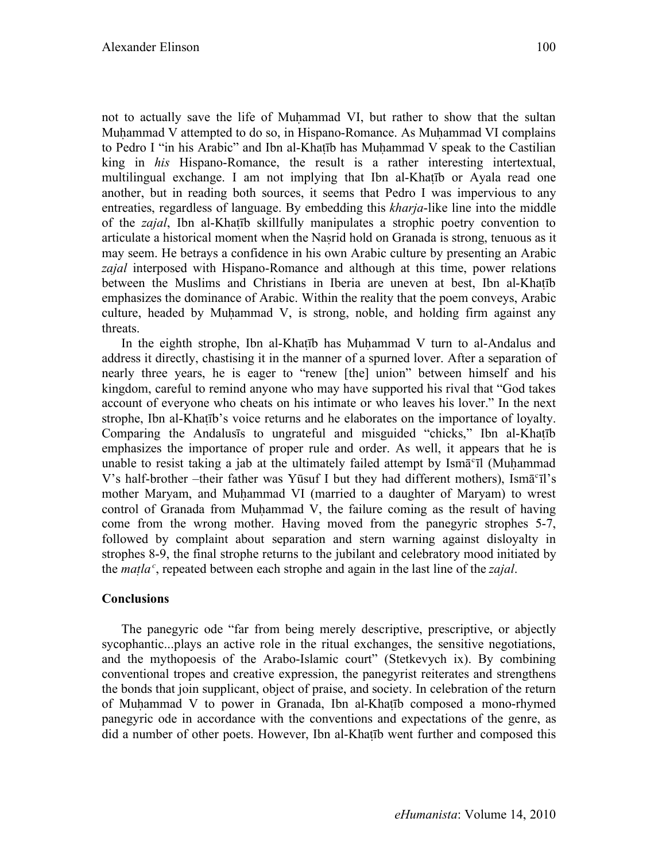not to actually save the life of Muhammad VI, but rather to show that the sultan Muhammad V attempted to do so, in Hispano-Romance. As Muhammad VI complains to Pedro I "in his Arabic" and Ibn al-Khaṭīb has Muḥammad V speak to the Castilian king in *his* Hispano-Romance, the result is a rather interesting intertextual, multilingual exchange. I am not implying that Ibn al-Khaṭīb or Ayala read one another, but in reading both sources, it seems that Pedro I was impervious to any entreaties, regardless of language. By embedding this *kharja*-like line into the middle of the *zajal*, Ibn al-Khaṭīb skillfully manipulates a strophic poetry convention to articulate a historical moment when the Naṣrid hold on Granada is strong, tenuous as it may seem. He betrays a confidence in his own Arabic culture by presenting an Arabic *zajal* interposed with Hispano-Romance and although at this time, power relations between the Muslims and Christians in Iberia are uneven at best, Ibn al-Khaṭīb emphasizes the dominance of Arabic. Within the reality that the poem conveys, Arabic culture, headed by Muḥammad V, is strong, noble, and holding firm against any threats.

In the eighth strophe, Ibn al-Khatīb has Muhammad V turn to al-Andalus and address it directly, chastising it in the manner of a spurned lover. After a separation of nearly three years, he is eager to "renew [the] union" between himself and his kingdom, careful to remind anyone who may have supported his rival that "God takes account of everyone who cheats on his intimate or who leaves his lover." In the next strophe, Ibn al-Khatīb's voice returns and he elaborates on the importance of loyalty. Comparing the Andalusīs to ungrateful and misguided "chicks," Ibn al-Khaṭīb emphasizes the importance of proper rule and order. As well, it appears that he is unable to resist taking a jab at the ultimately failed attempt by  $\text{Ism}\bar{\alpha}^c$  [Muhammad V's half-brother –their father was Yūsuf I but they had different mothers), Ismāʿīl's mother Maryam, and Muḥammad VI (married to a daughter of Maryam) to wrest control of Granada from Muḥammad V, the failure coming as the result of having come from the wrong mother. Having moved from the panegyric strophes 5-7, followed by complaint about separation and stern warning against disloyalty in strophes 8-9, the final strophe returns to the jubilant and celebratory mood initiated by the *matla*<sup> $c$ </sup>, repeated between each strophe and again in the last line of the *zajal*.

# **Conclusions**

The panegyric ode "far from being merely descriptive, prescriptive, or abjectly sycophantic...plays an active role in the ritual exchanges, the sensitive negotiations, and the mythopoesis of the Arabo-Islamic court" (Stetkevych ix). By combining conventional tropes and creative expression, the panegyrist reiterates and strengthens the bonds that join supplicant, object of praise, and society. In celebration of the return of Muḥammad V to power in Granada, Ibn al-Khaṭīb composed a mono-rhymed panegyric ode in accordance with the conventions and expectations of the genre, as did a number of other poets. However, Ibn al-Khaṭīb went further and composed this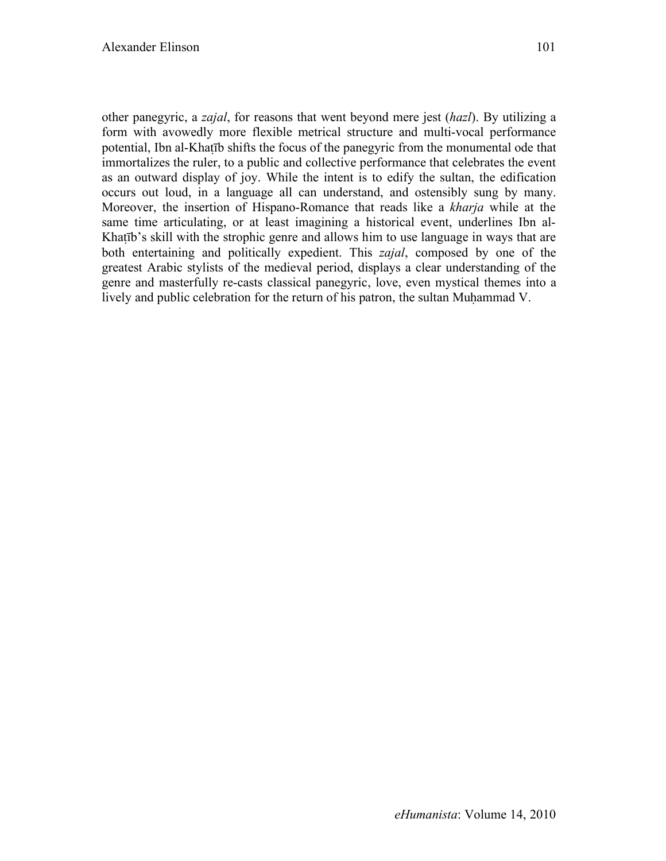other panegyric, a *zajal*, for reasons that went beyond mere jest (*hazl*). By utilizing a form with avowedly more flexible metrical structure and multi-vocal performance potential, Ibn al-Khaṭīb shifts the focus of the panegyric from the monumental ode that immortalizes the ruler, to a public and collective performance that celebrates the event as an outward display of joy. While the intent is to edify the sultan, the edification occurs out loud, in a language all can understand, and ostensibly sung by many. Moreover, the insertion of Hispano-Romance that reads like a *kharja* while at the same time articulating, or at least imagining a historical event, underlines Ibn al-Khatīb's skill with the strophic genre and allows him to use language in ways that are both entertaining and politically expedient. This *zajal*, composed by one of the greatest Arabic stylists of the medieval period, displays a clear understanding of the genre and masterfully re-casts classical panegyric, love, even mystical themes into a lively and public celebration for the return of his patron, the sultan Muḥammad V.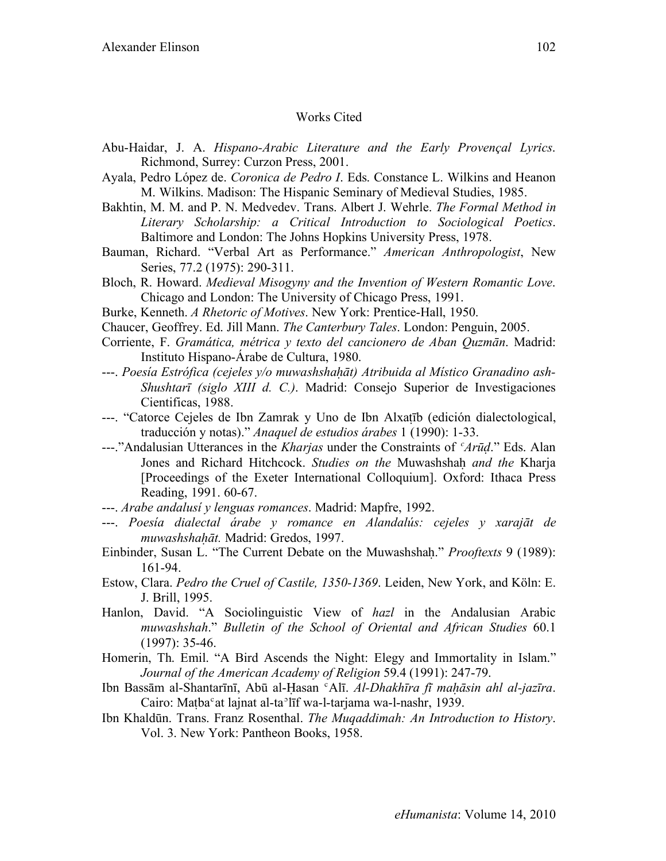# Works Cited

- Abu-Haidar, J. A. *Hispano-Arabic Literature and the Early Provençal Lyrics*. Richmond, Surrey: Curzon Press, 2001.
- Ayala, Pedro López de. *Coronica de Pedro I*. Eds. Constance L. Wilkins and Heanon M. Wilkins. Madison: The Hispanic Seminary of Medieval Studies, 1985.
- Bakhtin, M. M. and P. N. Medvedev. Trans. Albert J. Wehrle. *The Formal Method in Literary Scholarship: a Critical Introduction to Sociological Poetics*. Baltimore and London: The Johns Hopkins University Press, 1978.
- Bauman, Richard. "Verbal Art as Performance." *American Anthropologist*, New Series, 77.2 (1975): 290-311.
- Bloch, R. Howard. *Medieval Misogyny and the Invention of Western Romantic Love*. Chicago and London: The University of Chicago Press, 1991.
- Burke, Kenneth. *A Rhetoric of Motives*. New York: Prentice-Hall, 1950.
- Chaucer, Geoffrey. Ed. Jill Mann. *The Canterbury Tales*. London: Penguin, 2005.
- Corriente, F. *Gramática, métrica y texto del cancionero de Aban Quzmān*. Madrid: Instituto Hispano-Árabe de Cultura, 1980.
- ---. *Poesía Estrófica (cejeles y/o muwashshahāt) Atribuida al Místico Granadino ash-Shushtarī (siglo XIII d. C.)*. Madrid: Consejo Superior de Investigaciones Cientificas, 1988.
- ---. "Catorce Cejeles de Ibn Zamrak y Uno de Ibn Alxaṭīb (edición dialectological, traducción y notas)." *Anaquel de estudios árabes* 1 (1990): 1-33.
- ---."Andalusian Utterances in the *Kharjas* under the Constraints of *ʿArūḍ*." Eds. Alan Jones and Richard Hitchcock. *Studies on the* Muwashshaḥ *and the* Kharja [Proceedings of the Exeter International Colloquium]. Oxford: Ithaca Press Reading, 1991. 60-67.
- ---. *Arabe andalusí y lenguas romances*. Madrid: Mapfre, 1992.
- ---. *Poesía dialectal árabe y romance en Alandalús: cejeles y xarajāt de muwashshaḥāt.* Madrid: Gredos, 1997.
- Einbinder, Susan L. "The Current Debate on the Muwashshaḥ." *Prooftexts* 9 (1989): 161-94.
- Estow, Clara. *Pedro the Cruel of Castile, 1350-1369*. Leiden, New York, and Köln: E. J. Brill, 1995.
- Hanlon, David. "A Sociolinguistic View of *hazl* in the Andalusian Arabic *muwashshah*." *Bulletin of the School of Oriental and African Studies* 60.1 (1997): 35-46.
- Homerin, Th. Emil. "A Bird Ascends the Night: Elegy and Immortality in Islam." *Journal of the American Academy of Religion* 59.4 (1991): 247-79.
- Ibn Bassām al-Shantarīnī, Abū al-Ḥasan ʿAlī. *Al-Dhakhīra fī maḥāsin ahl al-jazīra*. Cairo: Matba<sup>c</sup>at lajnat al-ta<sup>°</sup>līf wa-l-tarjama wa-l-nashr, 1939.
- Ibn Khaldūn. Trans. Franz Rosenthal. *The Muqaddimah: An Introduction to History*. Vol. 3. New York: Pantheon Books, 1958.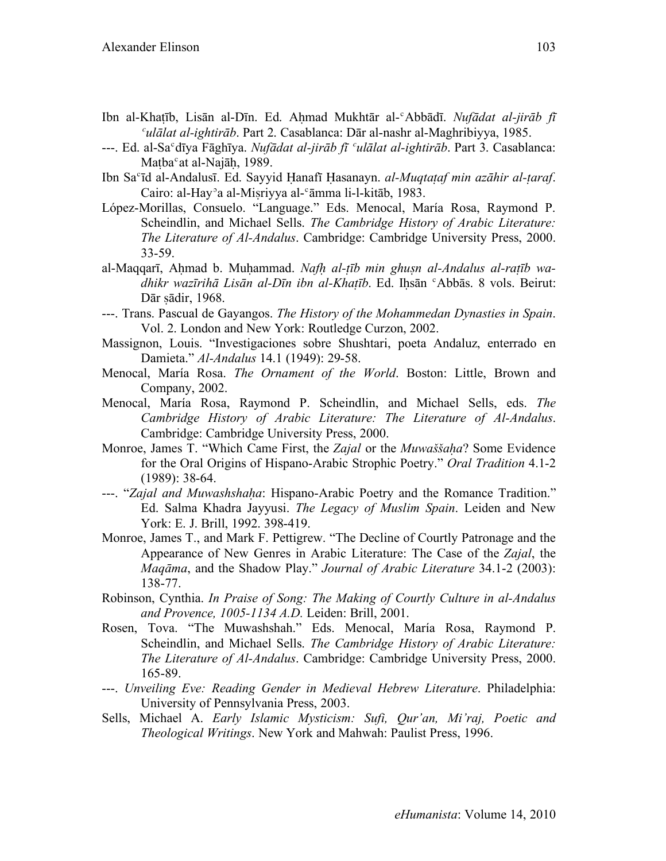- Ibn al-Khaṭīb, Lisān al-Dīn. Ed. Aḥmad Mukhtār al-ʿAbbādī. *Nufādat al-jirāb fī ʿulālat al-ightirāb*. Part 2. Casablanca: Dār al-nashr al-Maghribiyya, 1985.
- ---. Ed. al-Saʿdīya Fāghīya. *Nufādat al-jirāb fī ʿulālat al-ightirāb*. Part 3. Casablanca: Matba<sup>c</sup>at al-Najāh, 1989.
- Ibn Saʿīd al-Andalusī. Ed. Sayyid Ḥanafī Ḥasanayn. *al-Muqtaṭaf min azāhir al-ṭaraf*. Cairo: al-Hayʾa al-Miṣriyya al-ʿāmma li-l-kitāb, 1983.
- López-Morillas, Consuelo. "Language." Eds. Menocal, María Rosa, Raymond P. Scheindlin, and Michael Sells. *The Cambridge History of Arabic Literature: The Literature of Al-Andalus*. Cambridge: Cambridge University Press, 2000. 33-59.
- al-Maqqarī, Aḥmad b. Muḥammad. *Nafḥ al-ṭīb min ghuṣn al-Andalus al-raṭīb wadhikr wazīrihā Lisān al-Dīn ibn al-Khaṭīb*. Ed. Iḥsān ʿAbbās. 8 vols. Beirut: Dār sādir, 1968.
- ---. Trans. Pascual de Gayangos. *The History of the Mohammedan Dynasties in Spain*. Vol. 2. London and New York: Routledge Curzon, 2002.
- Massignon, Louis. "Investigaciones sobre Shushtari, poeta Andaluz, enterrado en Damieta." *Al-Andalus* 14.1 (1949): 29-58.
- Menocal, María Rosa. *The Ornament of the World*. Boston: Little, Brown and Company, 2002.
- Menocal, María Rosa, Raymond P. Scheindlin, and Michael Sells, eds. *The Cambridge History of Arabic Literature: The Literature of Al-Andalus*. Cambridge: Cambridge University Press, 2000.
- Monroe, James T. "Which Came First, the *Zajal* or the *Muwaššaḥa*? Some Evidence for the Oral Origins of Hispano-Arabic Strophic Poetry." *Oral Tradition* 4.1-2 (1989): 38-64.
- ---. "Zajal and Muwashshaha: Hispano-Arabic Poetry and the Romance Tradition." Ed. Salma Khadra Jayyusi. *The Legacy of Muslim Spain*. Leiden and New York: E. J. Brill, 1992. 398-419.
- Monroe, James T., and Mark F. Pettigrew. "The Decline of Courtly Patronage and the Appearance of New Genres in Arabic Literature: The Case of the *Zajal*, the *Maqāma*, and the Shadow Play." *Journal of Arabic Literature* 34.1-2 (2003): 138-77.
- Robinson, Cynthia. *In Praise of Song: The Making of Courtly Culture in al-Andalus and Provence, 1005-1134 A.D.* Leiden: Brill, 2001.
- Rosen, Tova. "The Muwashshah." Eds. Menocal, María Rosa, Raymond P. Scheindlin, and Michael Sells. *The Cambridge History of Arabic Literature: The Literature of Al-Andalus*. Cambridge: Cambridge University Press, 2000. 165-89.
- ---. *Unveiling Eve: Reading Gender in Medieval Hebrew Literature*. Philadelphia: University of Pennsylvania Press, 2003.
- Sells, Michael A. *Early Islamic Mysticism: Sufi, Qur'an, Mi'raj, Poetic and Theological Writings*. New York and Mahwah: Paulist Press, 1996.